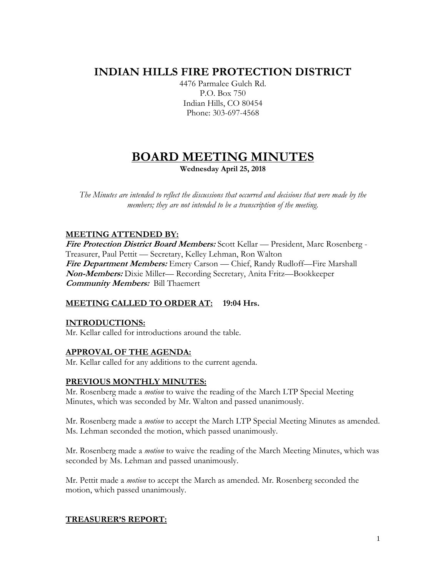# **INDIAN HILLS FIRE PROTECTION DISTRICT**

4476 Parmalee Gulch Rd. P.O. Box 750 Indian Hills, CO 80454 Phone: 303-697-4568

## **BOARD MEETING MINUTES Wednesday April 25, 2018**

*The Minutes are intended to reflect the discussions that occurred and decisions that were made by the members; they are not intended to be a transcription of the meeting.*

## **MEETING ATTENDED BY:**

**Fire Protection District Board Members:** Scott Kellar — President, Marc Rosenberg - Treasurer, Paul Pettit — Secretary, Kelley Lehman, Ron Walton **Fire Department Members:** Emery Carson — Chief, Randy Rudloff—Fire Marshall **Non-Members:** Dixie Miller— Recording Secretary, Anita Fritz—Bookkeeper **Community Members:** Bill Thaemert

## **MEETING CALLED TO ORDER AT: 19:04 Hrs.**

## **INTRODUCTIONS:**

Mr. Kellar called for introductions around the table.

## **APPROVAL OF THE AGENDA:**

Mr. Kellar called for any additions to the current agenda.

## **PREVIOUS MONTHLY MINUTES:**

Mr. Rosenberg made a *motion* to waive the reading of the March LTP Special Meeting Minutes, which was seconded by Mr. Walton and passed unanimously.

Mr. Rosenberg made a *motion* to accept the March LTP Special Meeting Minutes as amended. Ms. Lehman seconded the motion, which passed unanimously.

Mr. Rosenberg made a *motion* to waive the reading of the March Meeting Minutes, which was seconded by Ms. Lehman and passed unanimously.

Mr. Pettit made a *motion* to accept the March as amended. Mr. Rosenberg seconded the motion, which passed unanimously.

## **TREASURER'S REPORT:**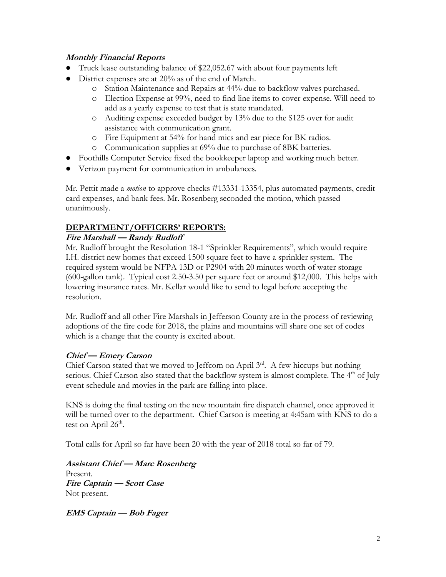## **Monthly Financial Reports**

- Truck lease outstanding balance of \$22,052.67 with about four payments left
- District expenses are at  $20\%$  as of the end of March.
	- o Station Maintenance and Repairs at 44% due to backflow valves purchased.
	- o Election Expense at 99%, need to find line items to cover expense. Will need to add as a yearly expense to test that is state mandated.
	- o Auditing expense exceeded budget by 13% due to the \$125 over for audit assistance with communication grant.
	- o Fire Equipment at 54% for hand mics and ear piece for BK radios.
	- o Communication supplies at 69% due to purchase of 8BK batteries.
- Foothills Computer Service fixed the bookkeeper laptop and working much better.
- Verizon payment for communication in ambulances.

Mr. Pettit made a *motion* to approve checks #13331-13354, plus automated payments, credit card expenses, and bank fees. Mr. Rosenberg seconded the motion, which passed unanimously.

## **DEPARTMENT/OFFICERS' REPORTS:**

#### **Fire Marshall — Randy Rudloff**

Mr. Rudloff brought the Resolution 18-1 "Sprinkler Requirements", which would require I.H. district new homes that exceed 1500 square feet to have a sprinkler system. The required system would be NFPA 13D or P2904 with 20 minutes worth of water storage (600-gallon tank). Typical cost 2.50-3.50 per square feet or around \$12,000. This helps with lowering insurance rates. Mr. Kellar would like to send to legal before accepting the resolution.

Mr. Rudloff and all other Fire Marshals in Jefferson County are in the process of reviewing adoptions of the fire code for 2018, the plains and mountains will share one set of codes which is a change that the county is excited about.

## **Chief — Emery Carson**

Chief Carson stated that we moved to Jeffcom on April  $3<sup>rd</sup>$ . A few hiccups but nothing serious. Chief Carson also stated that the backflow system is almost complete. The  $4<sup>th</sup>$  of July event schedule and movies in the park are falling into place.

KNS is doing the final testing on the new mountain fire dispatch channel, once approved it will be turned over to the department. Chief Carson is meeting at 4:45am with KNS to do a test on April 26<sup>th</sup>.

Total calls for April so far have been 20 with the year of 2018 total so far of 79.

**Assistant Chief — Marc Rosenberg** Present. **Fire Captain — Scott Case**  Not present.

**EMS Captain — Bob Fager**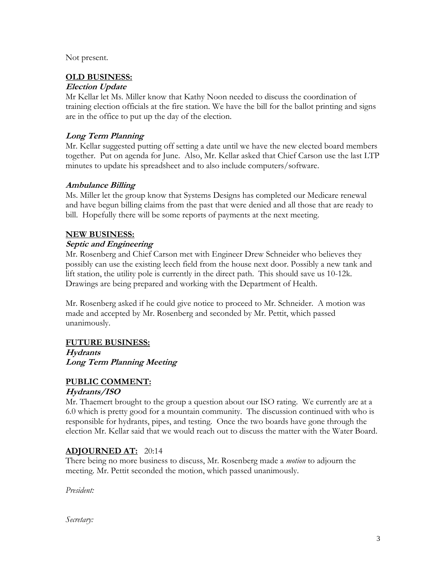Not present.

#### **OLD BUSINESS:**

#### **Election Update**

Mr Kellar let Ms. Miller know that Kathy Noon needed to discuss the coordination of training election officials at the fire station. We have the bill for the ballot printing and signs are in the office to put up the day of the election.

## **Long Term Planning**

Mr. Kellar suggested putting off setting a date until we have the new elected board members together. Put on agenda for June. Also, Mr. Kellar asked that Chief Carson use the last LTP minutes to update his spreadsheet and to also include computers/software.

#### **Ambulance Billing**

Ms. Miller let the group know that Systems Designs has completed our Medicare renewal and have begun billing claims from the past that were denied and all those that are ready to bill. Hopefully there will be some reports of payments at the next meeting.

#### **NEW BUSINESS:**

## **Septic and Engineering**

Mr. Rosenberg and Chief Carson met with Engineer Drew Schneider who believes they possibly can use the existing leech field from the house next door. Possibly a new tank and lift station, the utility pole is currently in the direct path. This should save us 10-12k. Drawings are being prepared and working with the Department of Health.

Mr. Rosenberg asked if he could give notice to proceed to Mr. Schneider. A motion was made and accepted by Mr. Rosenberg and seconded by Mr. Pettit, which passed unanimously.

#### **FUTURE BUSINESS:**

**Hydrants Long Term Planning Meeting**

## **PUBLIC COMMENT:**

#### **Hydrants/ISO**

Mr. Thaemert brought to the group a question about our ISO rating. We currently are at a 6.0 which is pretty good for a mountain community. The discussion continued with who is responsible for hydrants, pipes, and testing. Once the two boards have gone through the election Mr. Kellar said that we would reach out to discuss the matter with the Water Board.

## **ADJOURNED AT:** 20:14

There being no more business to discuss, Mr. Rosenberg made a *motion* to adjourn the meeting. Mr. Pettit seconded the motion, which passed unanimously.

*President:*

*Secretary:*